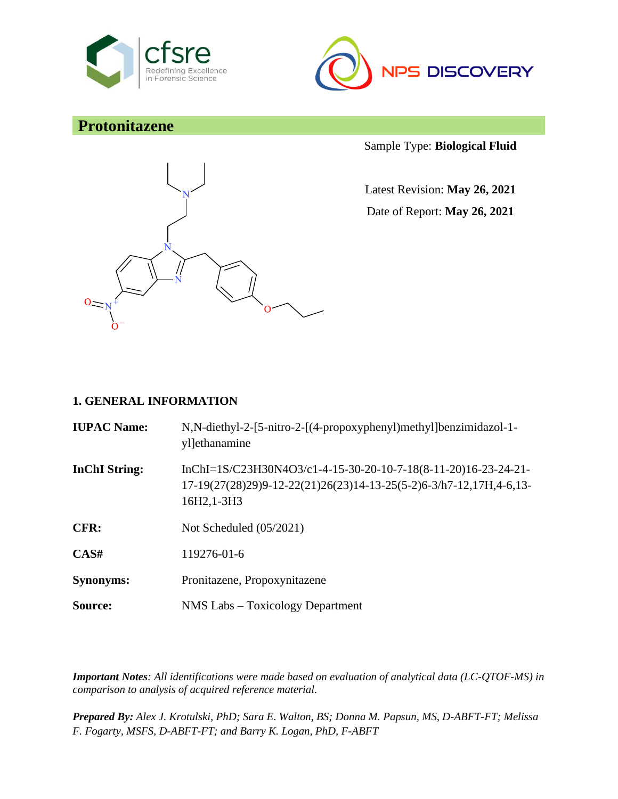



# **Protonitazene**



Sample Type: **Biological Fluid**

Latest Revision: **May 26, 2021** Date of Report: **May 26, 2021**

#### **1. GENERAL INFORMATION**

| <b>IUPAC Name:</b>   | N,N-diethyl-2-[5-nitro-2-[(4-propoxyphenyl)methyl]benzimidazol-1-<br>ylethanamine                                                                   |
|----------------------|-----------------------------------------------------------------------------------------------------------------------------------------------------|
| <b>InChI String:</b> | InChI=1S/C23H30N4O3/c1-4-15-30-20-10-7-18(8-11-20)16-23-24-21-<br>17-19(27(28)29)9-12-22(21)26(23)14-13-25(5-2)6-3/h7-12,17H,4-6,13-<br>16H2, 1-3H3 |
| CFR:                 | Not Scheduled $(05/2021)$                                                                                                                           |
| CAS#                 | 119276-01-6                                                                                                                                         |
| <b>Synonyms:</b>     | Pronitazene, Propoxynitazene                                                                                                                        |
| Source:              | NMS Labs - Toxicology Department                                                                                                                    |

*Important Notes: All identifications were made based on evaluation of analytical data (LC-QTOF-MS) in comparison to analysis of acquired reference material.*

*Prepared By: Alex J. Krotulski, PhD; Sara E. Walton, BS; Donna M. Papsun, MS, D-ABFT-FT; Melissa F. Fogarty, MSFS, D-ABFT-FT; and Barry K. Logan, PhD, F-ABFT*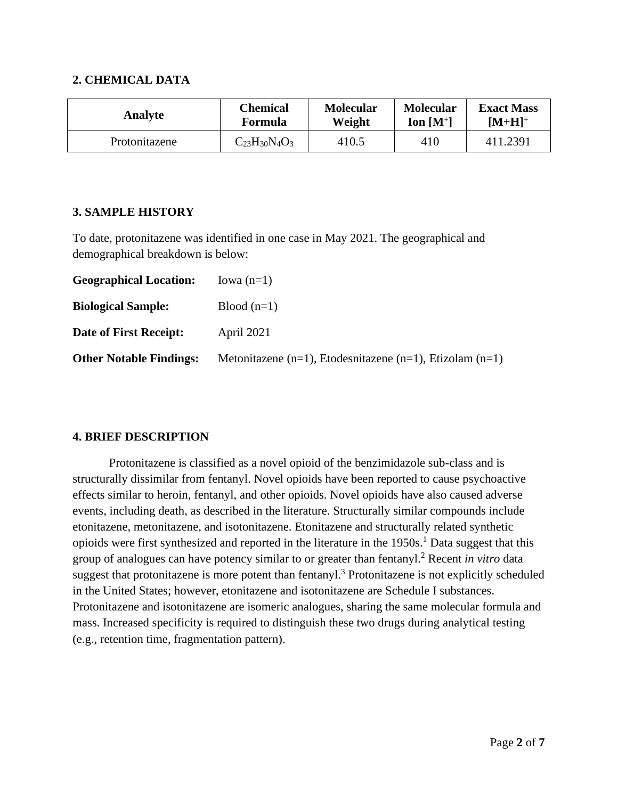#### **2. CHEMICAL DATA**

| <b>Analyte</b> | <b>Chemical</b>      | <b>Molecular</b> | <b>Molecular</b> | <b>Exact Mass</b> |
|----------------|----------------------|------------------|------------------|-------------------|
|                | Formula              | Weight           | Ion $[M^+]$      | $[M+H]^+$         |
| Protonitazene  | $C_{23}H_{30}N_4O_3$ | 410.5            | 410              | 411.2391          |

#### **3. SAMPLE HISTORY**

To date, protonitazene was identified in one case in May 2021. The geographical and demographical breakdown is below:

| <b>Geographical Location:</b>  | Iowa $(n=1)$                                             |
|--------------------------------|----------------------------------------------------------|
| <b>Biological Sample:</b>      | $Blood(n=1)$                                             |
| Date of First Receipt:         | April 2021                                               |
| <b>Other Notable Findings:</b> | Metonitazene (n=1), Etodesnitazene (n=1), Etizolam (n=1) |

### **4. BRIEF DESCRIPTION**

Protonitazene is classified as a novel opioid of the benzimidazole sub-class and is structurally dissimilar from fentanyl. Novel opioids have been reported to cause psychoactive effects similar to heroin, fentanyl, and other opioids. Novel opioids have also caused adverse events, including death, as described in the literature. Structurally similar compounds include etonitazene, metonitazene, and isotonitazene. Etonitazene and structurally related synthetic opioids were first synthesized and reported in the literature in the 1950s.<sup>1</sup> Data suggest that this group of analogues can have potency similar to or greater than fentanyl.<sup>2</sup> Recent *in vitro* data suggest that protonitazene is more potent than fentanyl.<sup>3</sup> Protonitazene is not explicitly scheduled in the United States; however, etonitazene and isotonitazene are Schedule I substances. Protonitazene and isotonitazene are isomeric analogues, sharing the same molecular formula and mass. Increased specificity is required to distinguish these two drugs during analytical testing (e.g., retention time, fragmentation pattern).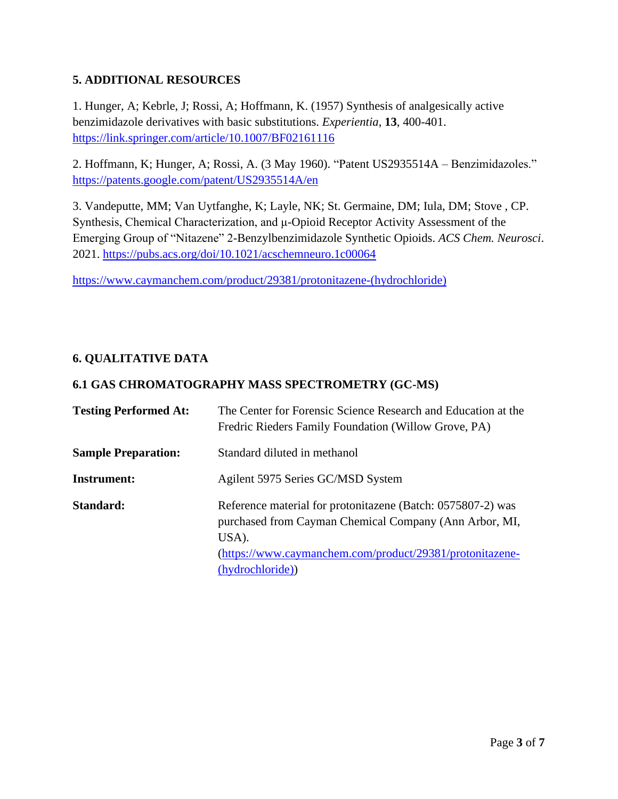## **5. ADDITIONAL RESOURCES**

1. Hunger, A; Kebrle, J; Rossi, A; Hoffmann, K. (1957) Synthesis of analgesically active benzimidazole derivatives with basic substitutions. *Experientia*, **13**, 400-401. <https://link.springer.com/article/10.1007/BF02161116>

2. Hoffmann, K; Hunger, A; Rossi, A. (3 May 1960). "Patent US2935514A – Benzimidazoles." <https://patents.google.com/patent/US2935514A/en>

3. Vandeputte, MM; Van Uytfanghe, K; Layle, NK; St. Germaine, DM; Iula, DM; Stove , CP. Synthesis, Chemical Characterization, and μ-Opioid Receptor Activity Assessment of the Emerging Group of "Nitazene" 2-Benzylbenzimidazole Synthetic Opioids. *ACS Chem. Neurosci*. 2021.<https://pubs.acs.org/doi/10.1021/acschemneuro.1c00064>

[https://www.caymanchem.com/product/29381/protonitazene-\(hydrochloride\)](https://www.caymanchem.com/product/29381/protonitazene-(hydrochloride))

### **6. QUALITATIVE DATA**

#### **6.1 GAS CHROMATOGRAPHY MASS SPECTROMETRY (GC-MS)**

| <b>Testing Performed At:</b> | The Center for Forensic Science Research and Education at the<br>Fredric Rieders Family Foundation (Willow Grove, PA)                                                                                          |
|------------------------------|----------------------------------------------------------------------------------------------------------------------------------------------------------------------------------------------------------------|
| <b>Sample Preparation:</b>   | Standard diluted in methanol                                                                                                                                                                                   |
| Instrument:                  | Agilent 5975 Series GC/MSD System                                                                                                                                                                              |
| Standard:                    | Reference material for protonitazene (Batch: 0575807-2) was<br>purchased from Cayman Chemical Company (Ann Arbor, MI,<br>USA).<br>(https://www.caymanchem.com/product/29381/protonitazene-<br>(hydrochloride)) |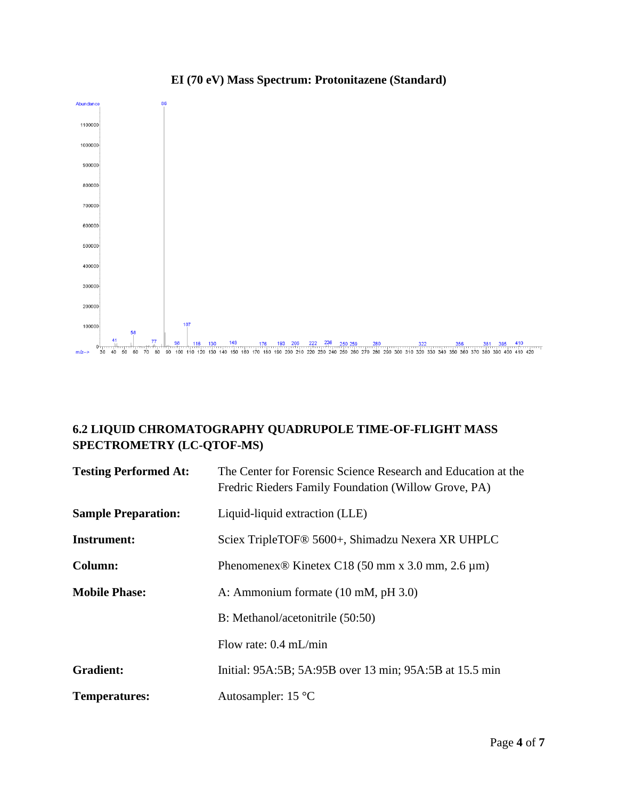

# **EI (70 eV) Mass Spectrum: Protonitazene (Standard)**

# **6.2 LIQUID CHROMATOGRAPHY QUADRUPOLE TIME-OF-FLIGHT MASS SPECTROMETRY (LC-QTOF-MS)**

| <b>Testing Performed At:</b> | The Center for Forensic Science Research and Education at the<br>Fredric Rieders Family Foundation (Willow Grove, PA) |
|------------------------------|-----------------------------------------------------------------------------------------------------------------------|
| <b>Sample Preparation:</b>   | Liquid-liquid extraction (LLE)                                                                                        |
| Instrument:                  | Sciex TripleTOF <sup>®</sup> 5600+, Shimadzu Nexera XR UHPLC                                                          |
| Column:                      | Phenomenex <sup>®</sup> Kinetex C18 (50 mm x 3.0 mm, 2.6 $\mu$ m)                                                     |
| <b>Mobile Phase:</b>         | A: Ammonium formate (10 mM, pH 3.0)                                                                                   |
|                              | B: Methanol/acetonitrile (50:50)                                                                                      |
|                              | Flow rate: $0.4$ mL/min                                                                                               |
| <b>Gradient:</b>             | Initial: 95A:5B; 5A:95B over 13 min; 95A:5B at 15.5 min                                                               |
| <b>Temperatures:</b>         | Autosampler: $15^{\circ}$ C                                                                                           |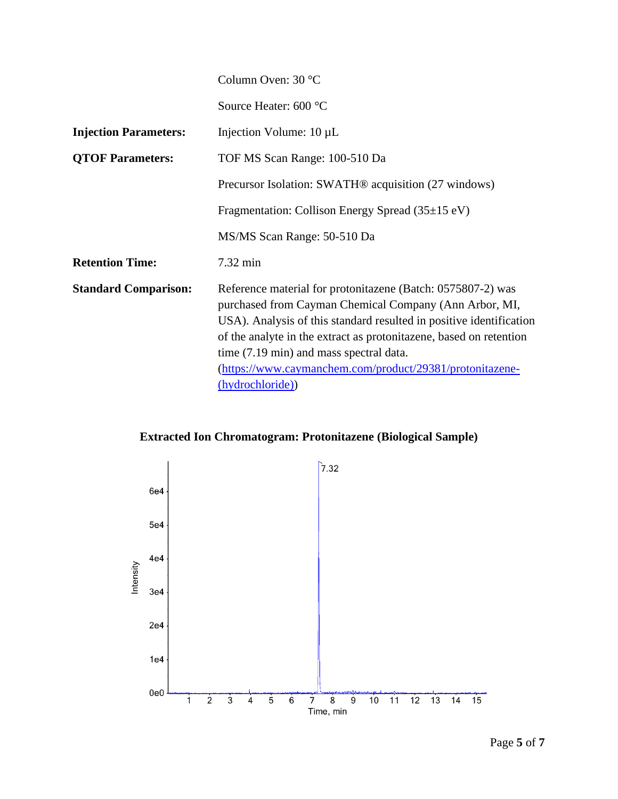|                              | Column Oven: 30 °C                                                                                                                                                                                                                                                                                                                                                                            |
|------------------------------|-----------------------------------------------------------------------------------------------------------------------------------------------------------------------------------------------------------------------------------------------------------------------------------------------------------------------------------------------------------------------------------------------|
|                              | Source Heater: 600 °C                                                                                                                                                                                                                                                                                                                                                                         |
| <b>Injection Parameters:</b> | Injection Volume: $10 \mu L$                                                                                                                                                                                                                                                                                                                                                                  |
| <b>QTOF Parameters:</b>      | TOF MS Scan Range: 100-510 Da                                                                                                                                                                                                                                                                                                                                                                 |
|                              | Precursor Isolation: SWATH <sup>®</sup> acquisition (27 windows)                                                                                                                                                                                                                                                                                                                              |
|                              | Fragmentation: Collison Energy Spread $(35\pm15 \text{ eV})$                                                                                                                                                                                                                                                                                                                                  |
|                              | MS/MS Scan Range: 50-510 Da                                                                                                                                                                                                                                                                                                                                                                   |
| <b>Retention Time:</b>       | 7.32 min                                                                                                                                                                                                                                                                                                                                                                                      |
| <b>Standard Comparison:</b>  | Reference material for protonitazene (Batch: 0575807-2) was<br>purchased from Cayman Chemical Company (Ann Arbor, MI,<br>USA). Analysis of this standard resulted in positive identification<br>of the analyte in the extract as protonitazene, based on retention<br>time (7.19 min) and mass spectral data.<br>(https://www.caymanchem.com/product/29381/protonitazene-<br>(hydrochloride)) |

**Extracted Ion Chromatogram: Protonitazene (Biological Sample)**

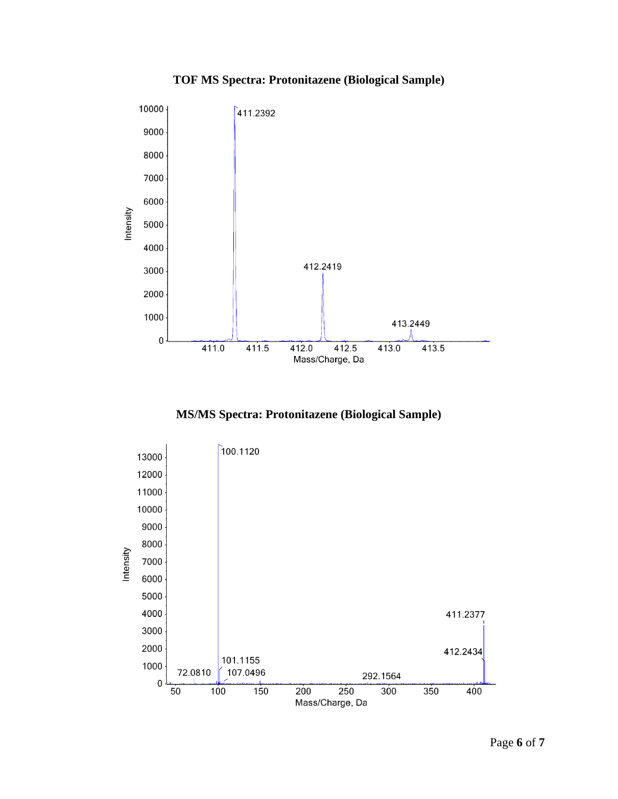# **TOF MS Spectra: Protonitazene (Biological Sample)**



**MS/MS Spectra: Protonitazene (Biological Sample)**